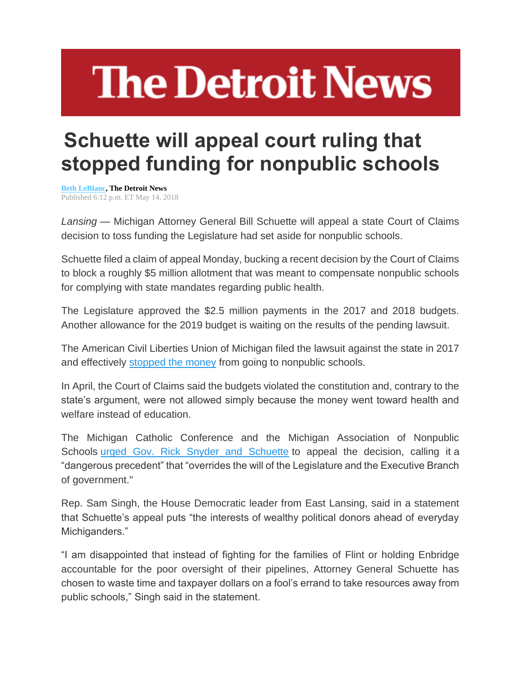## **The Detroit News**

## **Schuette will appeal court ruling that stopped funding for nonpublic schools**

**[Beth LeBlanc,](http://www.detroitnews.com/staff/46443/beth-leblanc/) The Detroit News** Published 6:12 p.m. ET May 14, 2018

*Lansing* — Michigan Attorney General Bill Schuette will appeal a state Court of Claims decision to toss funding the Legislature had set aside for nonpublic schools.

Schuette filed a claim of appeal Monday, bucking a recent decision by the Court of Claims to block a roughly \$5 million allotment that was meant to compensate nonpublic schools for complying with state mandates regarding public health.

The Legislature approved the \$2.5 million payments in the 2017 and 2018 budgets. Another allowance for the 2019 budget is waiting on the results of the pending lawsuit.

The American Civil Liberties Union of Michigan filed the lawsuit against the state in 2017 and effectively [stopped the money](https://www.detroitnews.com/story/news/politics/2017/07/05/private-school-aid-freeze/103456938/) from going to nonpublic schools.

In April, the Court of Claims said the budgets violated the constitution and, contrary to the state's argument, were not allowed simply because the money went toward health and welfare instead of education.

The Michigan Catholic Conference and the Michigan Association of Nonpublic Schools [urged Gov. Rick Snyder and Schuette](https://www.detroitnews.com/story/opinion/columnists/ingrid-jacques/2018/05/10/schuette-private-schools-reimbursement/34783513/) to appeal the decision, calling it a "dangerous precedent" that "overrides the will of the Legislature and the Executive Branch of government."

Rep. Sam Singh, the House Democratic leader from East Lansing, said in a statement that Schuette's appeal puts "the interests of wealthy political donors ahead of everyday Michiganders."

"I am disappointed that instead of fighting for the families of Flint or holding Enbridge accountable for the poor oversight of their pipelines, Attorney General Schuette has chosen to waste time and taxpayer dollars on a fool's errand to take resources away from public schools," Singh said in the statement.